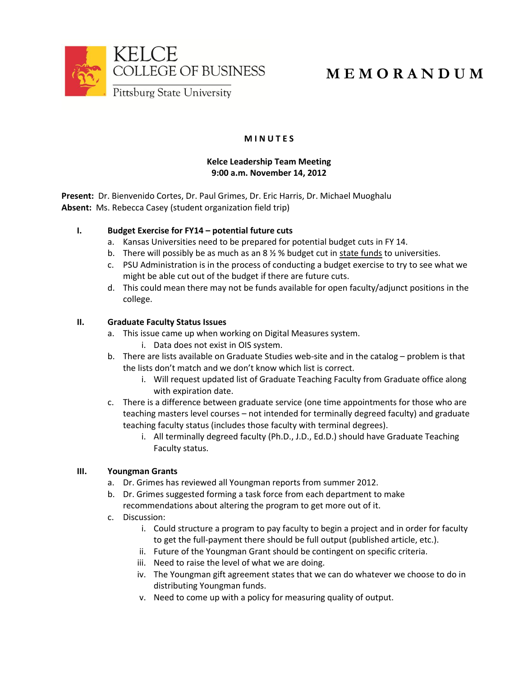

# **M E M O R A N D U M**

# **M I N U T E S**

## **Kelce Leadership Team Meeting 9:00 a.m. November 14, 2012**

**Present:** Dr. Bienvenido Cortes, Dr. Paul Grimes, Dr. Eric Harris, Dr. Michael Muoghalu **Absent:** Ms. Rebecca Casey (student organization field trip)

## **I. Budget Exercise for FY14 – potential future cuts**

- a. Kansas Universities need to be prepared for potential budget cuts in FY 14.
- b. There will possibly be as much as an  $8\frac{1}{2}\%$  budget cut in state funds to universities.
- c. PSU Administration is in the process of conducting a budget exercise to try to see what we might be able cut out of the budget if there are future cuts.
- d. This could mean there may not be funds available for open faculty/adjunct positions in the college.

## **II. Graduate Faculty Status Issues**

- a. This issue came up when working on Digital Measures system.
	- i. Data does not exist in OIS system.
- b. There are lists available on Graduate Studies web-site and in the catalog problem is that the lists don't match and we don't know which list is correct.
	- i. Will request updated list of Graduate Teaching Faculty from Graduate office along with expiration date.
- c. There is a difference between graduate service (one time appointments for those who are teaching masters level courses – not intended for terminally degreed faculty) and graduate teaching faculty status (includes those faculty with terminal degrees).
	- i. All terminally degreed faculty (Ph.D., J.D., Ed.D.) should have Graduate Teaching Faculty status.

## **III. Youngman Grants**

- a. Dr. Grimes has reviewed all Youngman reports from summer 2012.
- b. Dr. Grimes suggested forming a task force from each department to make recommendations about altering the program to get more out of it.
- c. Discussion:
	- i. Could structure a program to pay faculty to begin a project and in order for faculty to get the full-payment there should be full output (published article, etc.).
	- ii. Future of the Youngman Grant should be contingent on specific criteria.
	- iii. Need to raise the level of what we are doing.
	- iv. The Youngman gift agreement states that we can do whatever we choose to do in distributing Youngman funds.
	- v. Need to come up with a policy for measuring quality of output.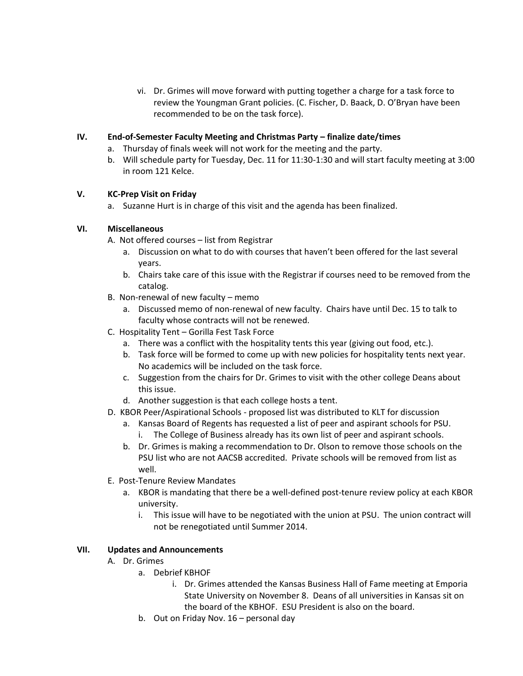vi. Dr. Grimes will move forward with putting together a charge for a task force to review the Youngman Grant policies. (C. Fischer, D. Baack, D. O'Bryan have been recommended to be on the task force).

### **IV. End-of-Semester Faculty Meeting and Christmas Party – finalize date/times**

- a. Thursday of finals week will not work for the meeting and the party.
- b. Will schedule party for Tuesday, Dec. 11 for 11:30-1:30 and will start faculty meeting at 3:00 in room 121 Kelce.

#### **V. KC-Prep Visit on Friday**

a. Suzanne Hurt is in charge of this visit and the agenda has been finalized.

### **VI. Miscellaneous**

A. Not offered courses – list from Registrar

- a. Discussion on what to do with courses that haven't been offered for the last several years.
- b. Chairs take care of this issue with the Registrar if courses need to be removed from the catalog.
- B. Non-renewal of new faculty memo
	- a. Discussed memo of non-renewal of new faculty. Chairs have until Dec. 15 to talk to faculty whose contracts will not be renewed.
- C. Hospitality Tent Gorilla Fest Task Force
	- a. There was a conflict with the hospitality tents this year (giving out food, etc.).
	- b. Task force will be formed to come up with new policies for hospitality tents next year. No academics will be included on the task force.
	- c. Suggestion from the chairs for Dr. Grimes to visit with the other college Deans about this issue.
	- d. Another suggestion is that each college hosts a tent.
- D. KBOR Peer/Aspirational Schools proposed list was distributed to KLT for discussion
	- a. Kansas Board of Regents has requested a list of peer and aspirant schools for PSU. i. The College of Business already has its own list of peer and aspirant schools.
	- b. Dr. Grimes is making a recommendation to Dr. Olson to remove those schools on the PSU list who are not AACSB accredited. Private schools will be removed from list as well.
- E. Post-Tenure Review Mandates
	- a. KBOR is mandating that there be a well-defined post-tenure review policy at each KBOR university.
		- i. This issue will have to be negotiated with the union at PSU. The union contract will not be renegotiated until Summer 2014.

#### **VII. Updates and Announcements**

- A. Dr. Grimes
	- a. Debrief KBHOF
		- i. Dr. Grimes attended the Kansas Business Hall of Fame meeting at Emporia State University on November 8. Deans of all universities in Kansas sit on the board of the KBHOF. ESU President is also on the board.
	- b. Out on Friday Nov. 16 personal day